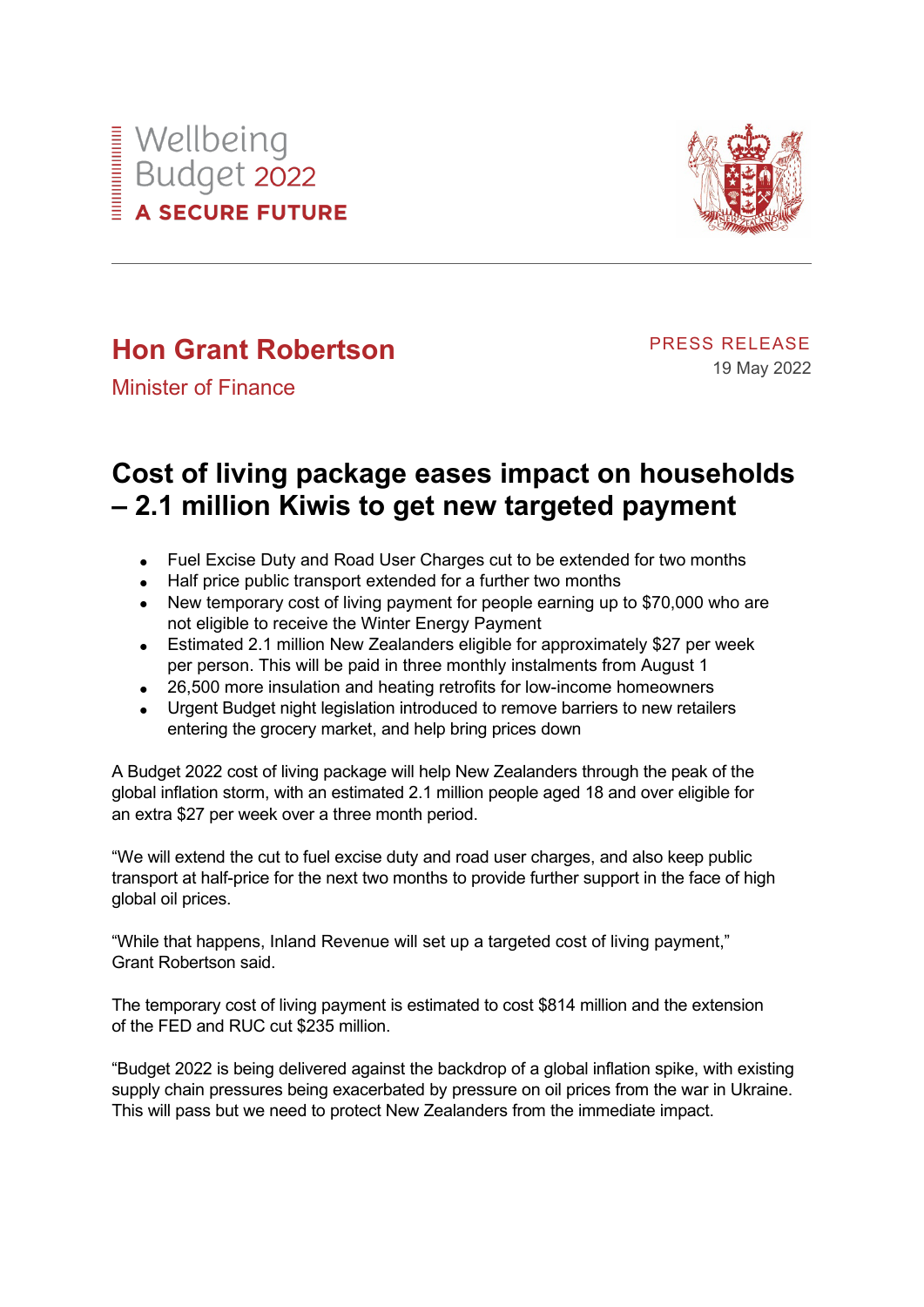



## **Hon Grant Robertson**

PRESS RELEASE 19 May 2022

Minister of Finance

## **Cost of living package eases impact on households – 2.1 million Kiwis to get new targeted payment**

- Fuel Excise Duty and Road User Charges cut to be extended for two months
- Half price public transport extended for a further two months
- New temporary cost of living payment for people earning up to \$70,000 who are not eligible to receive the Winter Energy Payment
- Estimated 2.1 million New Zealanders eligible for approximately \$27 per week per person. This will be paid in three monthly instalments from August 1
- 26,500 more insulation and heating retrofits for low-income homeowners
- Urgent Budget night legislation introduced to remove barriers to new retailers entering the grocery market, and help bring prices down

A Budget 2022 cost of living package will help New Zealanders through the peak of the global inflation storm, with an estimated 2.1 million people aged 18 and over eligible for an extra \$27 per week over a three month period.

"We will extend the cut to fuel excise duty and road user charges, and also keep public transport at half-price for the next two months to provide further support in the face of high global oil prices.

"While that happens, Inland Revenue will set up a targeted cost of living payment," Grant Robertson said.

The temporary cost of living payment is estimated to cost \$814 million and the extension of the FED and RUC cut \$235 million.

"Budget 2022 is being delivered against the backdrop of a global inflation spike, with existing supply chain pressures being exacerbated by pressure on oil prices from the war in Ukraine. This will pass but we need to protect New Zealanders from the immediate impact.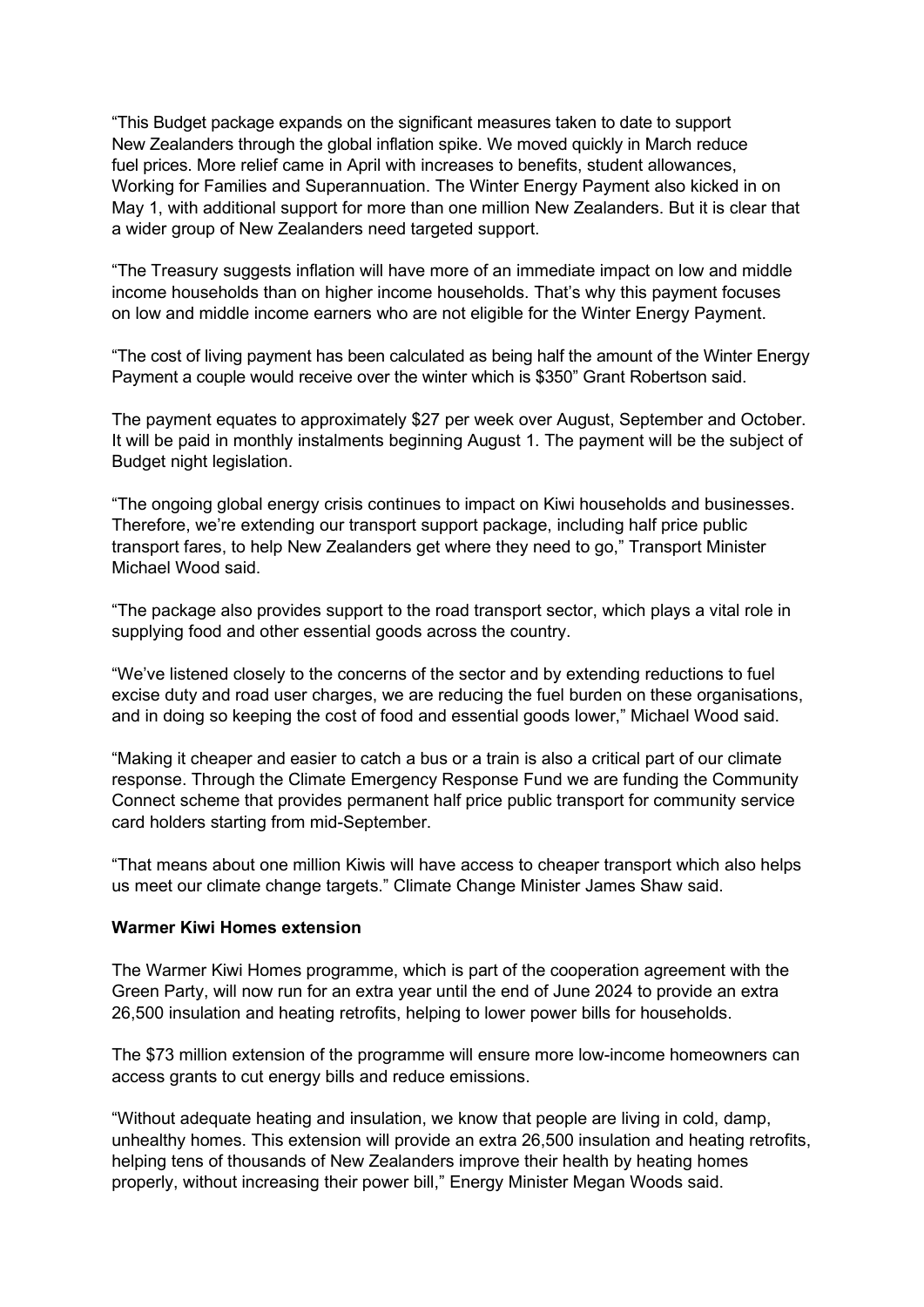"This Budget package expands on the significant measures taken to date to support New Zealanders through the global inflation spike. We moved quickly in March reduce fuel prices. More relief came in April with increases to benefits, student allowances, Working for Families and Superannuation. The Winter Energy Payment also kicked in on May 1, with additional support for more than one million New Zealanders. But it is clear that a wider group of New Zealanders need targeted support.

"The Treasury suggests inflation will have more of an immediate impact on low and middle income households than on higher income households. That's why this payment focuses on low and middle income earners who are not eligible for the Winter Energy Payment.

"The cost of living payment has been calculated as being half the amount of the Winter Energy Payment a couple would receive over the winter which is \$350" Grant Robertson said.

The payment equates to approximately \$27 per week over August, September and October. It will be paid in monthly instalments beginning August 1. The payment will be the subject of Budget night legislation.

"The ongoing global energy crisis continues to impact on Kiwi households and businesses. Therefore, we're extending our transport support package, including half price public transport fares, to help New Zealanders get where they need to go," Transport Minister Michael Wood said.

"The package also provides support to the road transport sector, which plays a vital role in supplying food and other essential goods across the country.

"We've listened closely to the concerns of the sector and by extending reductions to fuel excise duty and road user charges, we are reducing the fuel burden on these organisations, and in doing so keeping the cost of food and essential goods lower," Michael Wood said.

"Making it cheaper and easier to catch a bus or a train is also a critical part of our climate response. Through the Climate Emergency Response Fund we are funding the Community Connect scheme that provides permanent half price public transport for community service card holders starting from mid-September.

"That means about one million Kiwis will have access to cheaper transport which also helps us meet our climate change targets." Climate Change Minister James Shaw said.

## **Warmer Kiwi Homes extension**

The Warmer Kiwi Homes programme, which is part of the cooperation agreement with the Green Party, will now run for an extra year until the end of June 2024 to provide an extra 26,500 insulation and heating retrofits, helping to lower power bills for households.

The \$73 million extension of the programme will ensure more low-income homeowners can access grants to cut energy bills and reduce emissions.

"Without adequate heating and insulation, we know that people are living in cold, damp, unhealthy homes. This extension will provide an extra 26,500 insulation and heating retrofits, helping tens of thousands of New Zealanders improve their health by heating homes properly, without increasing their power bill," Energy Minister Megan Woods said.